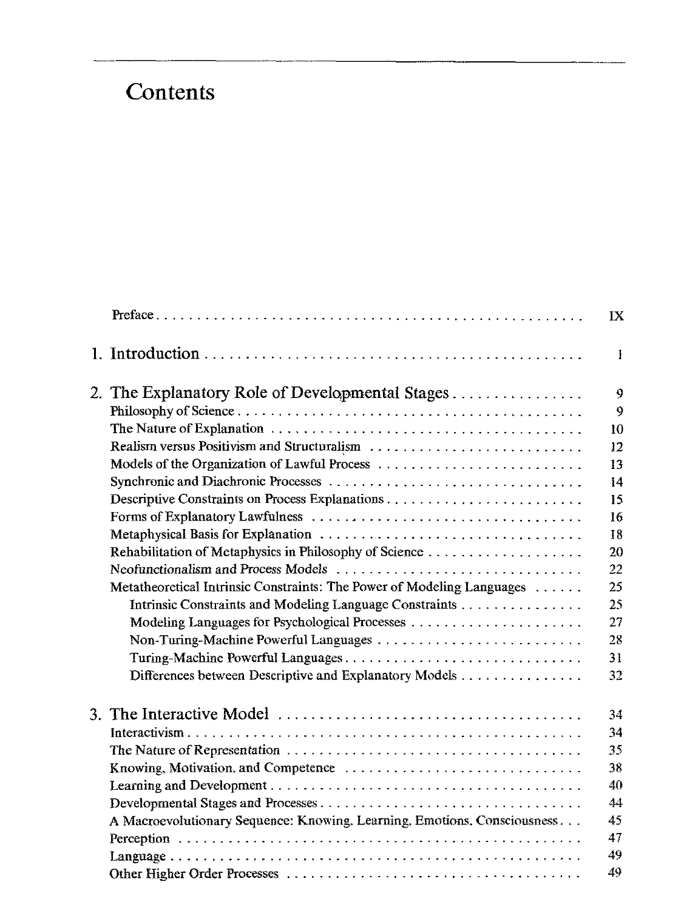## Contents

|  |                                                                                                      | IX |
|--|------------------------------------------------------------------------------------------------------|----|
|  |                                                                                                      | Ŧ  |
|  | 2. The Explanatory Role of Developmental Stages                                                      | 9  |
|  |                                                                                                      | 9  |
|  |                                                                                                      | 10 |
|  | Realism versus Positivism and Structuralism                                                          | 12 |
|  | Models of the Organization of Lawful Process $\dots \dots \dots \dots \dots \dots \dots \dots \dots$ | 13 |
|  |                                                                                                      | 14 |
|  |                                                                                                      | 15 |
|  |                                                                                                      | 16 |
|  |                                                                                                      | 18 |
|  | Rehabilitation of Metaphysics in Philosophy of Science                                               | 20 |
|  | Neofunctionalism and Process Models                                                                  | 22 |
|  | Metatheoretical Intrinsic Constraints: The Power of Modeling Languages                               | 25 |
|  | Intrinsic Constraints and Modeling Language Constraints                                              | 25 |
|  |                                                                                                      | 27 |
|  | Non-Turing-Machine Powerful Languages                                                                | 28 |
|  | Turing-Machine Powerful Languages                                                                    | 31 |
|  | Differences between Descriptive and Explanatory Models                                               | 32 |
|  |                                                                                                      | 34 |
|  |                                                                                                      | 34 |
|  |                                                                                                      | 35 |
|  | Knowing, Motivation, and Competence                                                                  | 38 |
|  |                                                                                                      | 40 |
|  |                                                                                                      | 44 |
|  |                                                                                                      |    |
|  | A Macroevolutionary Sequence: Knowing, Learning, Emotions, Consciousness                             | 45 |
|  |                                                                                                      | 47 |
|  |                                                                                                      | 49 |
|  |                                                                                                      | 49 |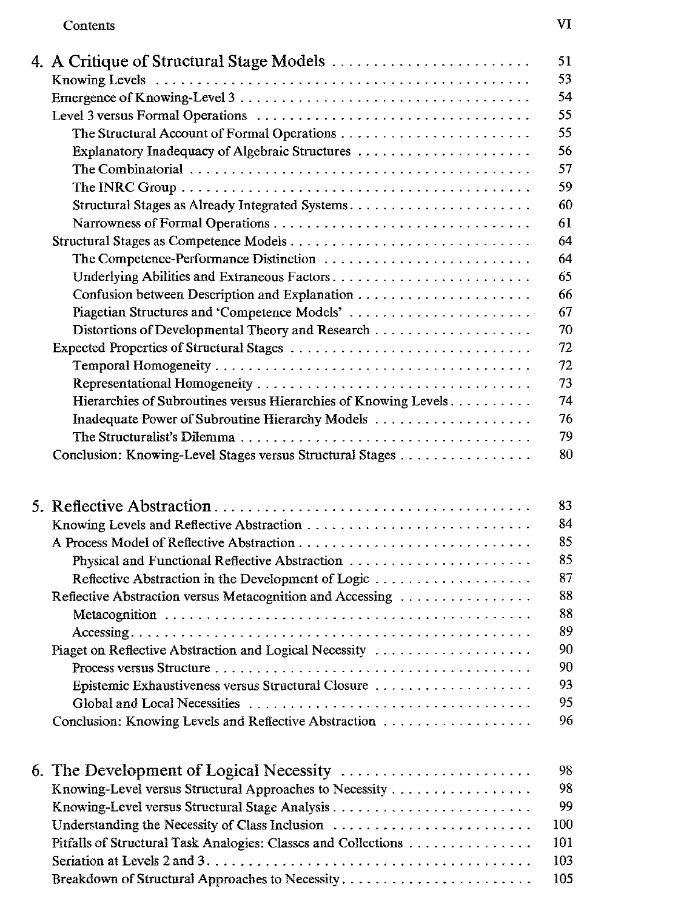## Contents VI

|  | 4. A Critique of Structural Stage Models                                                                                                                                    | 51                                                       |
|--|-----------------------------------------------------------------------------------------------------------------------------------------------------------------------------|----------------------------------------------------------|
|  |                                                                                                                                                                             | 53                                                       |
|  |                                                                                                                                                                             | 54                                                       |
|  |                                                                                                                                                                             | 55                                                       |
|  |                                                                                                                                                                             | 55                                                       |
|  | Explanatory Inadequacy of Algebraic Structures                                                                                                                              | 56                                                       |
|  |                                                                                                                                                                             | 57                                                       |
|  |                                                                                                                                                                             | 59                                                       |
|  | Structural Stages as Already Integrated Systems                                                                                                                             | 60                                                       |
|  |                                                                                                                                                                             | 61                                                       |
|  | Structural Stages as Competence Models                                                                                                                                      | 64                                                       |
|  | The Competence-Performance Distinction                                                                                                                                      | 64                                                       |
|  |                                                                                                                                                                             | 65                                                       |
|  |                                                                                                                                                                             | 66                                                       |
|  |                                                                                                                                                                             | 67                                                       |
|  |                                                                                                                                                                             | 70                                                       |
|  |                                                                                                                                                                             | 72                                                       |
|  |                                                                                                                                                                             | 72                                                       |
|  |                                                                                                                                                                             | 73                                                       |
|  | Hierarchies of Subroutines versus Hierarchies of Knowing Levels                                                                                                             | 74                                                       |
|  |                                                                                                                                                                             | 76                                                       |
|  |                                                                                                                                                                             | 79                                                       |
|  | Conclusion: Knowing-Level Stages versus Structural Stages                                                                                                                   | 80                                                       |
|  | Reflective Abstraction in the Development of Logic<br>Reflective Abstraction versus Metacognition and Accessing<br>Piaget on Reflective Abstraction and Logical Necessity   | 83<br>84<br>85<br>85<br>87<br>88<br>88<br>89<br>90<br>90 |
|  | Epistemic Exhaustiveness versus Structural Closure                                                                                                                          | 93                                                       |
|  |                                                                                                                                                                             | 95                                                       |
|  |                                                                                                                                                                             | 96                                                       |
|  |                                                                                                                                                                             |                                                          |
|  | Knowing-Level versus Structural Approaches to Necessity<br>Understanding the Necessity of Class Inclusion<br>Pitfalls of Structural Task Analogies: Classes and Collections | 98<br>98<br>99<br>100<br>101                             |
|  |                                                                                                                                                                             | 103                                                      |
|  |                                                                                                                                                                             | 105                                                      |
|  |                                                                                                                                                                             |                                                          |